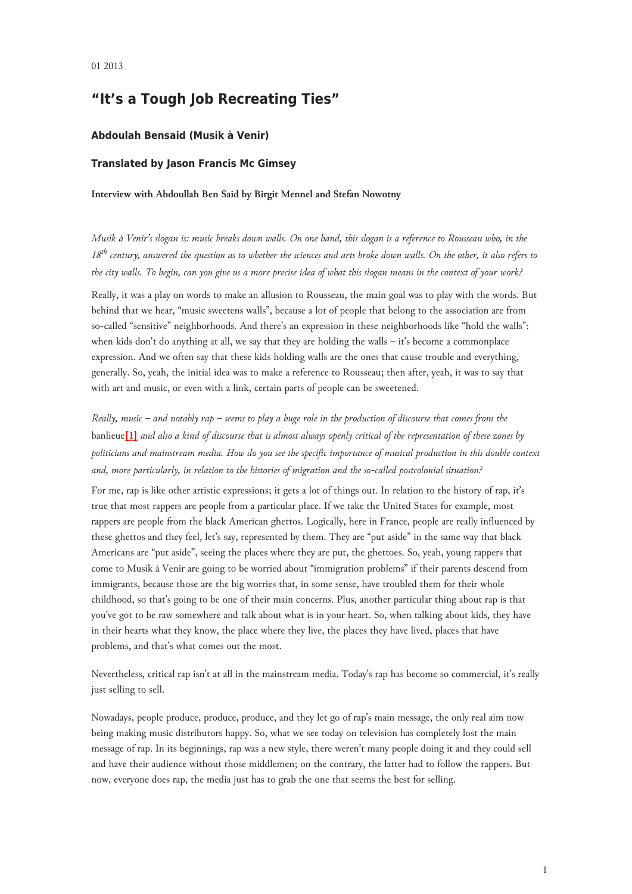# **"It's a Tough Job Recreating Ties"**

### **Abdoulah Bensaid (Musik à Venir)**

### **Translated by Jason Francis Mc Gimsey**

#### **Interview with Abdoullah Ben Said by Birgit Mennel and Stefan Nowotny**

*Musik à Venir's slogan is: music breaks down walls. On one hand, this slogan is a reference to Rousseau who, in the 18th century, answered the question as to whether the sciences and arts broke down walls. On the other, it also refers to the city walls. To begin, can you give us a more precise idea of what this slogan means in the context of your work?*

Really, it was a play on words to make an allusion to Rousseau, the main goal was to play with the words. But behind that we hear, "music sweetens walls", because a lot of people that belong to the association are from so-called "sensitive" neighborhoods. And there's an expression in these neighborhoods like "hold the walls": when kids don't do anything at all, we say that they are holding the walls – it's become a commonplace expression. And we often say that these kids holding walls are the ones that cause trouble and everything, generally. So, yeah, the initial idea was to make a reference to Rousseau; then after, yeah, it was to say that with art and music, or even with a link, certain parts of people can be sweetened.

<span id="page-0-0"></span>*Really, music – and notably rap – seems to play a huge role in the production of discourse that comes from the* banlieue**[\[1\]](#page-4-0)** *and also a kind of discourse that is almost always openly critical of the representation of these zones by politicians and mainstream media. How do you see the specific importance of musical production in this double context and, more particularly, in relation to the histories of migration and the so-called postcolonial situation?*

For me, rap is like other artistic expressions; it gets a lot of things out. In relation to the history of rap, it's true that most rappers are people from a particular place. If we take the United States for example, most rappers are people from the black American ghettos. Logically, here in France, people are really influenced by these ghettos and they feel, let's say, represented by them. They are "put aside" in the same way that black Americans are "put aside", seeing the places where they are put, the ghettoes. So, yeah, young rappers that come to Musik à Venir are going to be worried about "immigration problems" if their parents descend from immigrants, because those are the big worries that, in some sense, have troubled them for their whole childhood, so that's going to be one of their main concerns. Plus, another particular thing about rap is that you've got to be raw somewhere and talk about what is in your heart. So, when talking about kids, they have in their hearts what they know, the place where they live, the places they have lived, places that have problems, and that's what comes out the most.

Nevertheless, critical rap isn't at all in the mainstream media. Today's rap has become so commercial, it's really just selling to sell.

Nowadays, people produce, produce, produce, and they let go of rap's main message, the only real aim now being making music distributors happy. So, what we see today on television has completely lost the main message of rap. In its beginnings, rap was a new style, there weren't many people doing it and they could sell and have their audience without those middlemen; on the contrary, the latter had to follow the rappers. But now, everyone does rap, the media just has to grab the one that seems the best for selling.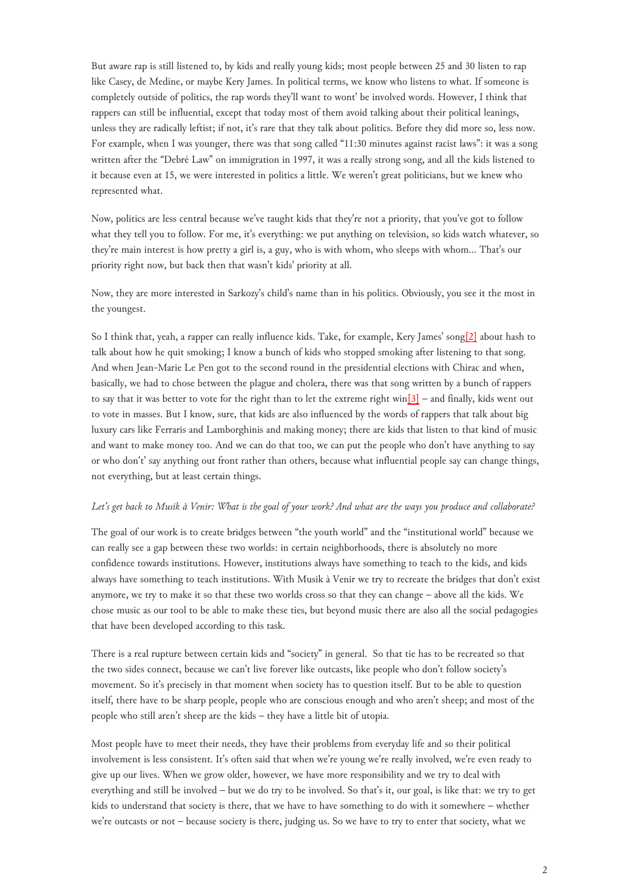But aware rap is still listened to, by kids and really young kids; most people between 25 and 30 listen to rap like Casey, de Medine, or maybe Kery James. In political terms, we know who listens to what. If someone is completely outside of politics, the rap words they'll want to wont' be involved words. However, I think that rappers can still be influential, except that today most of them avoid talking about their political leanings, unless they are radically leftist; if not, it's rare that they talk about politics. Before they did more so, less now. For example, when I was younger, there was that song called "11:30 minutes against racist laws": it was a song written after the "Debré Law" on immigration in 1997, it was a really strong song, and all the kids listened to it because even at 15, we were interested in politics a little. We weren't great politicians, but we knew who represented what.

Now, politics are less central because we've taught kids that they're not a priority, that you've got to follow what they tell you to follow. For me, it's everything: we put anything on television, so kids watch whatever, so they're main interest is how pretty a girl is, a guy, who is with whom, who sleeps with whom… That's our priority right now, but back then that wasn't kids' priority at all.

Now, they are more interested in Sarkozy's child's name than in his politics. Obviously, you see it the most in the youngest.

<span id="page-1-0"></span>So I think that, yeah, a rapper can really influence kids. Take, for example, Kery James' song[\[2\]](#page-4-1) about hash to talk about how he quit smoking; I know a bunch of kids who stopped smoking after listening to that song. And when Jean-Marie Le Pen got to the second round in the presidential elections with Chirac and when, basically, we had to chose between the plague and cholera, there was that song written by a bunch of rappers to say that it was better to vote for the right than to let the extreme right win[\[3\]](#page-4-2) – and finally, kids went out to vote in masses. But I know, sure, that kids are also influenced by the words of rappers that talk about big luxury cars like Ferraris and Lamborghinis and making money; there are kids that listen to that kind of music and want to make money too. And we can do that too, we can put the people who don't have anything to say or who don't' say anything out front rather than others, because what influential people say can change things, not everything, but at least certain things.

#### *Let's get back to Musik à Venir: What is the goal of your work? And what are the ways you produce and collaborate?*

The goal of our work is to create bridges between "the youth world" and the "institutional world" because we can really see a gap between these two worlds: in certain neighborhoods, there is absolutely no more confidence towards institutions. However, institutions always have something to teach to the kids, and kids always have something to teach institutions. With Musik à Venir we try to recreate the bridges that don't exist anymore, we try to make it so that these two worlds cross so that they can change – above all the kids. We chose music as our tool to be able to make these ties, but beyond music there are also all the social pedagogies that have been developed according to this task.

There is a real rupture between certain kids and "society" in general. So that tie has to be recreated so that the two sides connect, because we can't live forever like outcasts, like people who don't follow society's movement. So it's precisely in that moment when society has to question itself. But to be able to question itself, there have to be sharp people, people who are conscious enough and who aren't sheep; and most of the people who still aren't sheep are the kids – they have a little bit of utopia.

Most people have to meet their needs, they have their problems from everyday life and so their political involvement is less consistent. It's often said that when we're young we're really involved, we're even ready to give up our lives. When we grow older, however, we have more responsibility and we try to deal with everything and still be involved – but we do try to be involved. So that's it, our goal, is like that: we try to get kids to understand that society is there, that we have to have something to do with it somewhere – whether we're outcasts or not – because society is there, judging us. So we have to try to enter that society, what we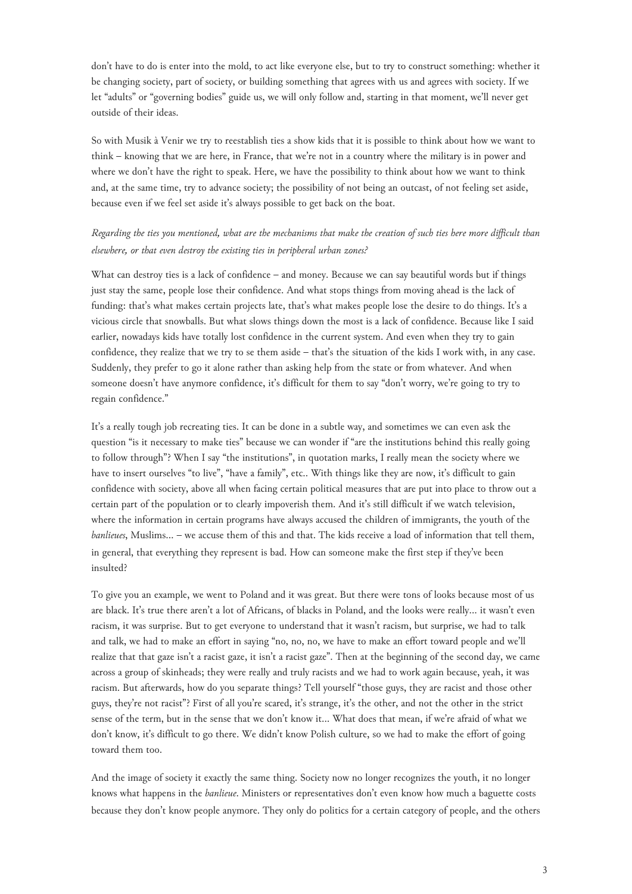don't have to do is enter into the mold, to act like everyone else, but to try to construct something: whether it be changing society, part of society, or building something that agrees with us and agrees with society. If we let "adults" or "governing bodies" guide us, we will only follow and, starting in that moment, we'll never get outside of their ideas.

So with Musik à Venir we try to reestablish ties a show kids that it is possible to think about how we want to think – knowing that we are here, in France, that we're not in a country where the military is in power and where we don't have the right to speak. Here, we have the possibility to think about how we want to think and, at the same time, try to advance society; the possibility of not being an outcast, of not feeling set aside, because even if we feel set aside it's always possible to get back on the boat.

# *Regarding the ties you mentioned, what are the mechanisms that make the creation of such ties here more difficult than elsewhere, or that even destroy the existing ties in peripheral urban zones?*

What can destroy ties is a lack of confidence – and money. Because we can say beautiful words but if things just stay the same, people lose their confidence. And what stops things from moving ahead is the lack of funding: that's what makes certain projects late, that's what makes people lose the desire to do things. It's a vicious circle that snowballs. But what slows things down the most is a lack of confidence. Because like I said earlier, nowadays kids have totally lost confidence in the current system. And even when they try to gain confidence, they realize that we try to se them aside – that's the situation of the kids I work with, in any case. Suddenly, they prefer to go it alone rather than asking help from the state or from whatever. And when someone doesn't have anymore confidence, it's difficult for them to say "don't worry, we're going to try to regain confidence."

It's a really tough job recreating ties. It can be done in a subtle way, and sometimes we can even ask the question "is it necessary to make ties" because we can wonder if "are the institutions behind this really going to follow through"? When I say "the institutions", in quotation marks, I really mean the society where we have to insert ourselves "to live", "have a family", etc.. With things like they are now, it's difficult to gain confidence with society, above all when facing certain political measures that are put into place to throw out a certain part of the population or to clearly impoverish them. And it's still difficult if we watch television, where the information in certain programs have always accused the children of immigrants, the youth of the *banlieues*, Muslims… – we accuse them of this and that. The kids receive a load of information that tell them, in general, that everything they represent is bad. How can someone make the first step if they've been insulted?

To give you an example, we went to Poland and it was great. But there were tons of looks because most of us are black. It's true there aren't a lot of Africans, of blacks in Poland, and the looks were really… it wasn't even racism, it was surprise. But to get everyone to understand that it wasn't racism, but surprise, we had to talk and talk, we had to make an effort in saying "no, no, no, we have to make an effort toward people and we'll realize that that gaze isn't a racist gaze, it isn't a racist gaze". Then at the beginning of the second day, we came across a group of skinheads; they were really and truly racists and we had to work again because, yeah, it was racism. But afterwards, how do you separate things? Tell yourself "those guys, they are racist and those other guys, they're not racist"? First of all you're scared, it's strange, it's the other, and not the other in the strict sense of the term, but in the sense that we don't know it… What does that mean, if we're afraid of what we don't know, it's difficult to go there. We didn't know Polish culture, so we had to make the effort of going toward them too.

And the image of society it exactly the same thing. Society now no longer recognizes the youth, it no longer knows what happens in the *banlieue*. Ministers or representatives don't even know how much a baguette costs because they don't know people anymore. They only do politics for a certain category of people, and the others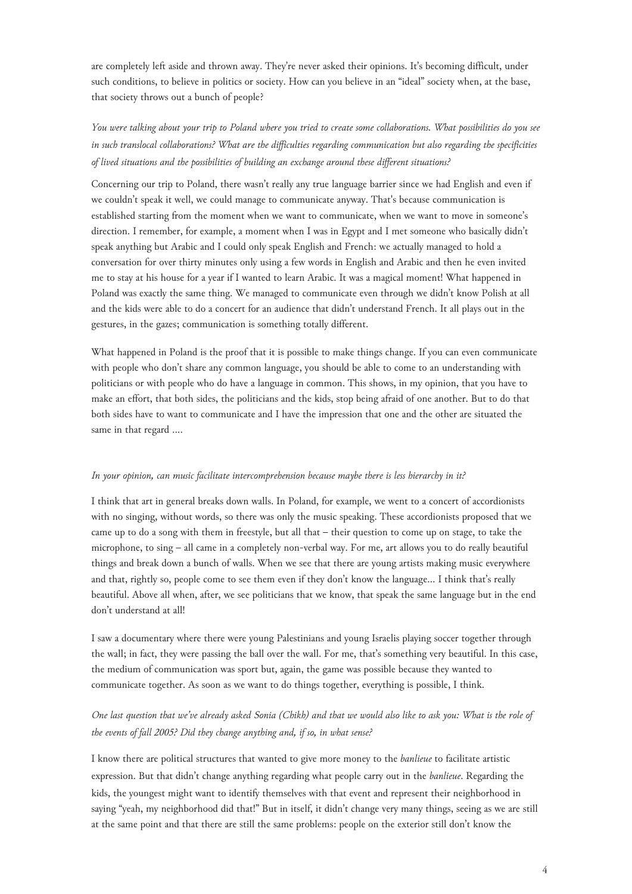are completely left aside and thrown away. They're never asked their opinions. It's becoming difficult, under such conditions, to believe in politics or society. How can you believe in an "ideal" society when, at the base, that society throws out a bunch of people?

*You were talking about your trip to Poland where you tried to create some collaborations. What possibilities do you see in such translocal collaborations? What are the difficulties regarding communication but also regarding the specificities of lived situations and the possibilities of building an exchange around these different situations?*

Concerning our trip to Poland, there wasn't really any true language barrier since we had English and even if we couldn't speak it well, we could manage to communicate anyway. That's because communication is established starting from the moment when we want to communicate, when we want to move in someone's direction. I remember, for example, a moment when I was in Egypt and I met someone who basically didn't speak anything but Arabic and I could only speak English and French: we actually managed to hold a conversation for over thirty minutes only using a few words in English and Arabic and then he even invited me to stay at his house for a year if I wanted to learn Arabic. It was a magical moment! What happened in Poland was exactly the same thing. We managed to communicate even through we didn't know Polish at all and the kids were able to do a concert for an audience that didn't understand French. It all plays out in the gestures, in the gazes; communication is something totally different.

What happened in Poland is the proof that it is possible to make things change. If you can even communicate with people who don't share any common language, you should be able to come to an understanding with politicians or with people who do have a language in common. This shows, in my opinion, that you have to make an effort, that both sides, the politicians and the kids, stop being afraid of one another. But to do that both sides have to want to communicate and I have the impression that one and the other are situated the same in that regard ….

#### *In your opinion, can music facilitate intercomprehension because maybe there is less hierarchy in it?*

I think that art in general breaks down walls. In Poland, for example, we went to a concert of accordionists with no singing, without words, so there was only the music speaking. These accordionists proposed that we came up to do a song with them in freestyle, but all that – their question to come up on stage, to take the microphone, to sing – all came in a completely non-verbal way. For me, art allows you to do really beautiful things and break down a bunch of walls. When we see that there are young artists making music everywhere and that, rightly so, people come to see them even if they don't know the language… I think that's really beautiful. Above all when, after, we see politicians that we know, that speak the same language but in the end don't understand at all!

I saw a documentary where there were young Palestinians and young Israelis playing soccer together through the wall; in fact, they were passing the ball over the wall. For me, that's something very beautiful. In this case, the medium of communication was sport but, again, the game was possible because they wanted to communicate together. As soon as we want to do things together, everything is possible, I think.

## *One last question that we've already asked Sonia (Chikh) and that we would also like to ask you: What is the role of the events of fall 2005? Did they change anything and, if so, in what sense?*

I know there are political structures that wanted to give more money to the *banlieue* to facilitate artistic expression. But that didn't change anything regarding what people carry out in the *banlieue*. Regarding the kids, the youngest might want to identify themselves with that event and represent their neighborhood in saying "yeah, my neighborhood did that!" But in itself, it didn't change very many things, seeing as we are still at the same point and that there are still the same problems: people on the exterior still don't know the